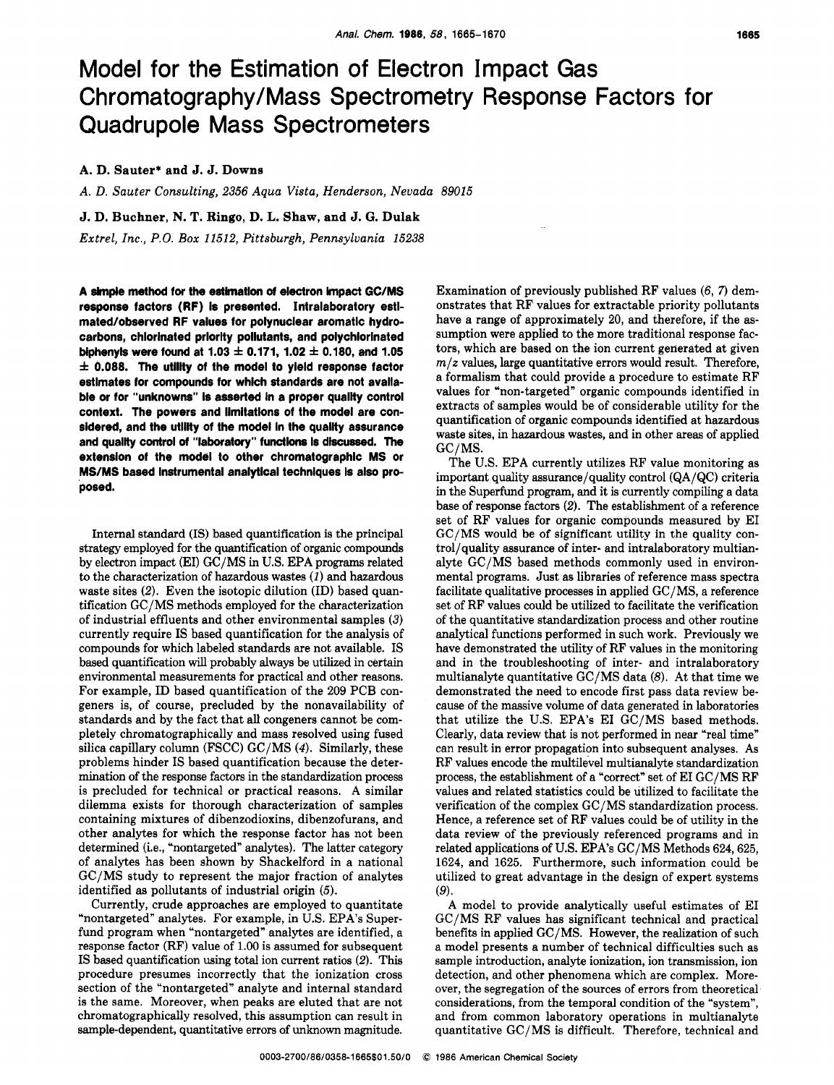# Model for the Estimation of Electron Impact Gas Chromatography/Mass Spectrometry Response Factors for Quadrupole Mass Spectrometers

## A. D. Sauter\* and J. J. Downs

A. D. Sauter Consulting, 2356 Aqua Vista, Henderson, Nevada 89015

J. D. Buchner, N. T. Ringo, D. L. Shaw, and J. G. Dulak

Extrel, Inc., P.O. Box 11512, Pittsburgh, Pennsylvania 15238

A simple method for the estimation of electron Impact GC/MS response factors (RF) Is presented. Intralaboratory estimated/observed RF values for polynuclear aromatic hydrocarbons, chlorinated priority pollutants, and polychlorinated biphenyls were found at 1.03  $\pm$  0.171, 1.02  $\pm$  0.180, and 1.05  $±$  0.088. The utility of the model to yield response factor estimates for compounds for which standards are not available or for "unknowns" is asserted in a proper quality control context. The powers and limitations of the model are considered, and the utility of the model in the quality assurance and quality control of "laboratory" functions Is discussed. The extension of the model to other chromatographic MS or MS/MS based instrumental analytical techniques is also proposed.

Internal standard (IS) based quantification is the principal strategy employed for the quantification of organic compounds by electron impact (El) GC/MS in U.S. EPA programs related to the characterization of hazardous wastes  $(1)$  and hazardous waste sites (2). Even the isotopic dilution (ID) based quantification GC/MS methods employed for the characterization of industrial effluents and other environmental samples (3) currently require IS based quantification for the analysis of compounds for which labeled standards are not available. IS based quantification will probably always be utilized in certain environmental measurements for practical and other reasons. For example, ID based quantification of the 209 PCB congeners is, of course, precluded by the nonavailability of standards and by the fact that all congeners cannot be completely chromatographically and mass resolved using fused silica capillary column (FSCC) GC/MS (4). Similarly, these problems hinder IS based quantification because the determination of the response factors in the standardization process is precluded for technical or practical reasons. A similar dilemma exists for thorough characterization of samples containing mixtures of dibenzodioxins, dibenzofurans, and other analytes for which the response factor has not been determined (i.e., "nontargeted" analytes). The latter category of analytes has been shown by Shackelford in <sup>a</sup> national GC/MS study to represent the major fraction of analytes identified as pollutants of industrial origin (5).

Currently, crude approaches are employed to quantitate "nontargeted" analytes. For example, in U.S. EPA's Superfund program when "nontargeted" analytes are identified, <sup>a</sup> response factor (RF) value of 1.00 is assumed for subsequent IS based quantification using total ion current ratios (2). This procedure presumes incorrectly that the ionization cross section of the "nontargeted" analyte and internal standard is the same. Moreover, when peaks are eluted that are not chromatographically resolved, this assumption can result in sample-dependent, quantitative errors of unknown magnitude.

Examination of previously published RF values (6, 7) demonstrates that RF values for extractable priority pollutants have <sup>a</sup> range of approximately 20, and therefore, if the assumption were applied to the more traditional response factors, which are based on the ion current generated at given  $m/z$  values, large quantitative errors would result. Therefore, <sup>a</sup> formalism that could provide <sup>a</sup> procedure to estimate RF values for "non-targeted" organic compounds identified in extracts of samples would be of considerable utility for the quantification of organic compounds identified at hazardous waste sites, in hazardous wastes, and in other areas of applied GC/MS.

The U.S. EPA currently utilizes RF value monitoring as important quality assurance/quality control (QA/QC) criteria in the Superfund program, and it is currently compiling <sup>a</sup> data base of response factors (2). The establishment of <sup>a</sup> reference set of RF values for organic compounds measured by El GC/MS would be of significant utility in the quality control/quality assurance of inter- and intralaboratory multianalyte GC/MS based methods commonly used in environmental programs. Just as libraries of reference mass spectra facilitate qualitative processes in applied GC/MS, <sup>a</sup> reference set of RF values could be utilized to facilitate the verification of the quantitative standardization process and other routine analytical functions performed in such work. Previously we have demonstrated the utility of RF values in the monitoring and in the troubleshooting of inter- and intralaboratory multianalyte quantitative GC/MS data (8). At that time we demonstrated the need to encode first pass data review because of the massive volume of data generated in laboratories that utilize the U.S. EPA's El GC/MS based methods. Clearly, data review that is not performed in near "real time" can result in error propagation into subsequent analyses. As RF values encode the multilevel multianalyte standardization process, the establishment of <sup>a</sup> "correct" set of El GC/MS RF values and related statistics could be utilized to facilitate the verification of the complex GC/MS standardization process. Hence, <sup>a</sup> reference set of RF values could be of utility in the data review of the previously referenced programs and in related applications of U.S. EPA's GC/MS Methods 624, 625, 1624, and 1625. Furthermore, such information could be utilized to great advantage in the design of expert systems (9).

A model to provide analytically useful estimates of El GC/MS RF values has significant technical and practical benefits in applied GC/MS. However, the realization of such <sup>a</sup> model presents <sup>a</sup> number of technical difficulties such as sample introduction, analyte ionization, ion transmission, ion detection, and other phenomena which are complex. Moreover, the segregation of the sources of errors from theoretical considerations, from the temporal condition of the "system", and from common laboratory operations in multianalyte quantitative GC/MS is difficult. Therefore, technical and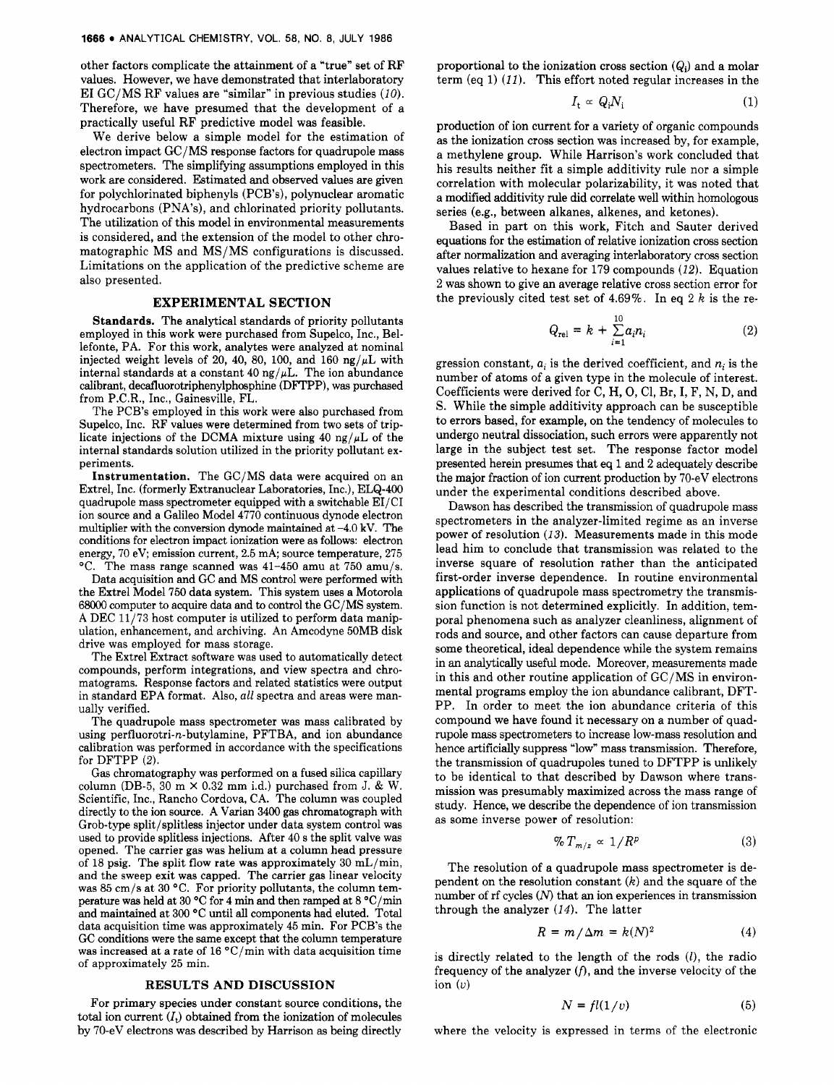other factors complicate the attainment of <sup>a</sup> "true" set of RF values. However, we have demonstrated that interlaboratory El GC/MS RF values are "similar" in previous studies (10). Therefore, we have presumed that the development of <sup>a</sup> practically useful RF predictive model was feasible.

We derive below <sup>a</sup> simple model for the estimation of electron impact GC/MS response factors for quadrupole mass spectrometers. The simplifying assumptions employed in this work are considered. Estimated and observed values are given for polychlorinated biphenyls (PCB's), polynuclear aromatic hydrocarbons (PNA's), and chlorinated priority pollutants. The utilization of this model in environmental measurements is considered, and the extension of the model to other chromatographic MS and MS/MS configurations is discussed. Limitations on the application of the predictive scheme are also presented.

#### EXPERIMENTAL SECTION

Standards. The analytical standards of priority pollutants employed in this work were purchased from Supelco, Inc., Bellefonte, PA. For this work, analytes were analyzed at nominal injected weight levels of 20, 40, 80, 100, and 160 ng/ $\mu$ L with internal standards at a constant 40  $\frac{ng}{\mu}$ . The ion abundance calibrant, decafluorotriphenylphosphine (DFTPP), was purchased from P.C.R., Inc., Gainesville, FL.

The PCB's employed in this work were also purchased from Supelco, Inc. RF values were determined from two sets of triplicate injections of the DCMA mixture using 40 ng/ $\mu$ L of the internal standards solution utilized in the priority pollutant experiments.

Instrumentation. The GC/MS data were acquired on an Extrel, Inc. (formerly Extranuclear Laboratories, Inc.), ELQ-400 quadrupole mass spectrometer equipped with <sup>a</sup> switchable EI/CI ion source and <sup>a</sup> Galileo Model 4770 continuous dynode electron multiplier with the conversion dynode maintained at -4.0 kV. The conditions for electron impact ionization were as follows: electron energy, 70 eV; emission current, 2.5 mA; source temperature, 275 °C. The mass range scanned was 41-450 amu at 750 amu/s.

Data acquisition and GC and MS control were performed with the Extrel Model 750 data system. This system uses <sup>a</sup> Motorola 68000 computer to acquire data and to control the GC/MS system. A DEC 11/73 host computer is utilized to perform data manipulation, enhancement, and archiving. An Amcodyne 50MB disk drive was employed for mass storage.

The Extrel Extract software was used to automatically detect compounds, perform integrations, and view spectra and chromatograms. Response factors and related statistics were output in standard EPA format. Also, all spectra and areas were manually verified.

The quadrupole mass spectrometer was mass calibrated by using perfluorotri-n-butylamine, PFTBA, and ion abundance calibration was performed in accordance with the specifications for DFTPP (2).

Gas chromatography was performed on <sup>a</sup> fused silica capillary column (DB-5, 30 m  $\times$  0.32 mm i.d.) purchased from J. & W. Scientific, Inc., Rancho Cordova, CA. The column was coupled directly to the ion source. A Varían 3400 gas chromatograph with Grob-type split/splitless injector under data system control was used to provide splitless injections. After 40 <sup>s</sup> the split valve was opened. The carrier gas was helium at <sup>a</sup> column head pressure of <sup>18</sup> psig. The split flow rate was approximately <sup>30</sup> mL/min, and the sweep exit was capped. The carrier gas linear velocity was <sup>85</sup> cm/s at <sup>30</sup> °C. For priority pollutants, the column temperature was held at <sup>30</sup> °C for <sup>4</sup> min and then ramped at <sup>8</sup> °C/min and maintained at 300 °C until all components had eluted. Total data acquisition time was approximately <sup>45</sup> min. For PCB's the GC conditions were the same except that the column temperature was increased at a rate of 16  $\rm{°C/min}$  with data acquisition time of approximately <sup>25</sup> min.

#### RESULTS AND DISCUSSION

For primary species under constant source conditions, the total ion current  $(I_t)$  obtained from the ionization of molecules by 70-eV electrons was described by Harrison as being directly

proportional to the ionization cross section  $(Q_i)$  and a molar term (eq 1) (11). This effort noted regular increases in the

$$
I_{\rm t} \propto Q_{\rm i} N_{\rm i} \tag{1}
$$

production of ion current for <sup>a</sup> variety of organic compounds as the ionization cross section was increased by, for example, <sup>a</sup> methylene group. While Harrison's work concluded that his results neither fit <sup>a</sup> simple additivity rule nor <sup>a</sup> simple correlation with molecular polarizability, it was noted that <sup>a</sup> modified additivity rule did correlate well within homologous series (e.g., between alkanes, alkenes, and ketones).

Based in part on this work, Fitch and Sauter derived equations for the estimation of relative ionization cross section after normalization and averaging interlaboratory cross section values relative to hexane for <sup>179</sup> compounds (12). Equation <sup>2</sup> was shown to give an average relative cross section error for the previously cited test set of 4.69%. In eq 2  $k$  is the re-

$$
Q_{\text{rel}} = k + \sum_{i=1}^{10} a_i n_i \tag{2}
$$

gression constant,  $a_i$  is the derived coefficient, and  $n_i$  is the number of atoms of <sup>a</sup> given type in the molecule of interest. Coefficients were derived for C, H, O, Cl, Br, I, F, N, D, and S. While the simple additivity approach can be susceptible to errors based, for example, on the tendency of molecules to undergo neutral dissociation, such errors were apparently not large in the subject test set. The response factor model presented herein presumes that eq <sup>1</sup> and <sup>2</sup> adequately describe the major fraction of ion current production by 70-eV electrons under the experimental conditions described above.

Dawson has described the transmission of quadrupole mass spectrometers in the analyzer-limited regime as an inverse power of resolution (13). Measurements made in this mode lead him to conclude that transmission was related to the inverse square of resolution rather than the anticipated first-order inverse dependence. In routine environmental applications of quadrupole mass spectrometry the transmission function is not determined explicitly. In addition, temporal phenomena such as analyzer cleanliness, alignment of rods and source, and other factors can cause departure from some theoretical, ideal dependence while the system remains in an analytically useful mode. Moreover, measurements made in this and other routine application of GC/MS in environmental programs employ the ion abundance calibrant, DFT-PP. In order to meet the ion abundance criteria of this compound we have found it necessary on <sup>a</sup> number of quadrupole mass spectrometers to increase low-mass resolution and hence artificially suppress "low" mass transmission. Therefore, the transmission of quadrupoles tuned to DFTPP is unlikely to be identical to that described by Dawson where transmission was presumably maximized across the mass range of study. Hence, we describe the dependence of ion transmission as some inverse power of resolution:

$$
\% T_{m/z} \propto 1/R^p \tag{3}
$$

The resolution of <sup>a</sup> quadrupole mass spectrometer is dependent on the resolution constant  $(k)$  and the square of the number of  $r$ f cycles  $(N)$  that an ion experiences in transmission through the analyzer  $(14)$ . The latter

$$
R = m/\Delta m = k(N)^2 \tag{4}
$$

is directly related to the length of the rods  $(l)$ , the radio frequency of the analyzer  $(f)$ , and the inverse velocity of the ion  $(v)$ 

$$
N = fl(1/v) \tag{5}
$$

where the velocity is expressed in terms of the electronic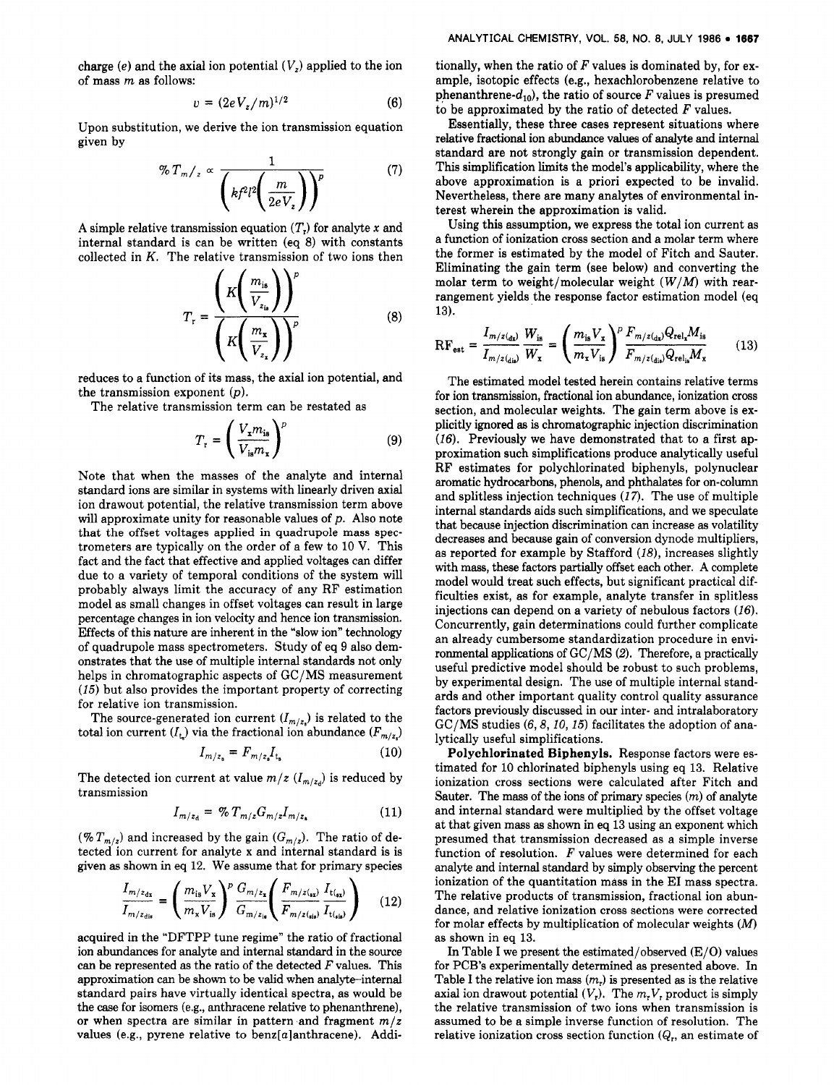$$
v = (2eV_z/m)^{1/2}
$$
 (6)

Upon substitution, we derive the ion transmission equation given by

$$
\% T_{m/z} \propto \frac{1}{\left(kf^2l^2\left(\frac{m}{2eV_z}\right)\right)^p} \tag{7}
$$

A simple relative transmission equation  $(T<sub>r</sub>)$  for analyte x and internal standard is can be written (eq 8) with constants collected in  $K$ . The relative transmission of two ions then

$$
T_{\rm r} = \frac{\left(K\left(\frac{m_{\rm is}}{V_{z_{\rm is}}}\right)\right)^p}{\left(K\left(\frac{m_{\rm x}}{V_{z_{\rm x}}}\right)\right)^p}
$$
(8)

reduces to <sup>a</sup> function of its mass, the axial ion potential, and the transmission exponent  $(p)$ .

The relative transmission term can be restated as

$$
T_{\rm r} = \left(\frac{V_{\rm x}m_{\rm is}}{V_{\rm is}m_{\rm x}}\right)^p \tag{9}
$$

Note that when the masses of the analyte and internal standard ions are similar in systems with linearly driven axial ion drawout potential, the relative transmission term above will approximate unity for reasonable values of  $p$ . Also note that the offset voltages applied in quadrupole mass spectrometers are typically on the order of <sup>a</sup> few to <sup>10</sup> V. This fact and the fact that effective and applied voltages can differ due to <sup>a</sup> variety of temporal conditions of the system will probably always limit the accuracy of any RF estimation model as small changes in offset voltages can result in large percentage changes in ion velocity and hence ion transmission. Effects of this nature are inherent in the "slow ion" technology of quadrupole mass spectrometers. Study of eq <sup>9</sup> also demonstrates that the use of multiple internal standards not only helps in chromatographic aspects of GC/MS measurement (15) but also provides the important property of correcting for relative ion transmission.

The source-generated ion current  $(I_{m/z_0})$  is related to the total ion current  $(I_{t_n})$  via the fractional ion abundance  $(F_{m/z_i})$ 

$$
I_{m/z_s} = F_{m/z_s} I_{t_s} \tag{10}
$$

The detected ion current at value  $m/z$  ( $I_{m/z_d}$ ) is reduced by transmission

$$
I_{m/z_{\rm d}} = \% T_{m/z} G_{m/z} I_{m/z_{\rm s}} \tag{11}
$$

(% $T_{m/z}$ ) and increased by the gain  $(G_{m/z})$ . The ratio of detected ion current for analyte <sup>x</sup> and internal standard is is given as shown in eq 12. We assume that for primary species

$$
\frac{I_{m/z_{\text{dx}}}}{I_{m/z_{\text{dis}}}} = \left(\frac{m_{\text{is}}V_{\text{x}}}{m_{\text{x}}V_{\text{is}}}\right)^p \frac{G_{m/z_{\text{x}}}}{G_{m/z_{\text{is}}}} \left(\frac{F_{m/z_{\text{tar}}}}{F_{m/z_{\text{cis}}}} \frac{I_{t(\text{ax})}}{I_{t(\text{sin})}}\right)
$$
(12)

acquired in the "DFTPP tune regime" the ratio of fractional ion abundances for analyte and internal standard in the source can be represented as the ratio of the detected  $F$  values. This approximation can be shown to be valid when analyte-internal standard pairs have virtually identical spectra, as would be the case for isomers (e.g., anthracene relative to phenanthrene), or when spectra are similar in pattern and fragment  $m/z$ values (e.g., pyrene relative to benz $[a]$ anthracene). Additionally, when the ratio of  $F$  values is dominated by, for example, isotopic effects (e.g., hexachlorobenzene relative to phenanthrene- $d_{10}$ ), the ratio of source F values is presumed to be approximated by the ratio of detected  $F$  values.

Essentially, these three cases represent situations where relative fractional ion abundance values of analyte and internal standard are not strongly gain or transmission dependent. This simplification limits the model's applicability, where the above approximation is <sup>a</sup> priori expected to be invalid. Nevertheless, there are many analytes of environmental interest wherein the approximation is valid.

Using this assumption, we express the total ion current as a function of ionization cross section and a molar term where the former is estimated by the model of Fitch and Sauter. Eliminating the gain term (see below) and converting the molar term to weight/molecular weight  $(W/M)$  with rearrangement yields the response factor estimation model (eq 13).

$$
RF_{\text{est}} = \frac{I_{m/z(\text{dx})}}{I_{m/z(\text{dx})}} \frac{W_{\text{is}}}{W_{\text{x}}} = \left(\frac{m_{\text{is}}V_{\text{x}}}{m_{\text{x}}V_{\text{is}}}\right)^p \frac{F_{m/z(\text{dx})}Q_{\text{rel}_{\text{x}}}M_{\text{is}}}{F_{m/z(\text{dx})}Q_{\text{rel}_{\text{is}}}M_{\text{x}}} \tag{13}
$$

The estimated model tested herein contains relative terms for ion transmission, fractional ion abundance, ionization cross section, and molecular weights. The gain term above is explicitly ignored as is chromatographic injection discrimination (16). Previously we have demonstrated that to <sup>a</sup> first approximation such simplifications produce analytically useful RF estimates for polychlorinated biphenyls, polynuclear aromatic hydrocarbons, phenols, and phthalates for on-column and splitless injection techniques (17). The use of multiple internal standards aids such simplifications, and we speculate that because injection discrimination can increase as volatility decreases and because gain of conversion dynode multipliers, as reported for example by Stafford (18), increases slightly with mass, these factors partially offset each other. A complete model would treat such effects, but significant practical difficulties exist, as for example, analyte transfer in splitless injections can depend on a variety of nebulous factors  $(16)$ . Concurrently, gain determinations could further complicate an already cumbersome standardization procedure in environmental applications of GC/MS (2). Therefore, <sup>a</sup> practically useful predictive model should be robust to such problems, by experimental design. The use of multiple internal standards and other important quality control quality assurance factors previously discussed in our inter- and intralaboratory GC/MS studies (6,8,10,15) facilitates the adoption of analytically useful simplifications.

Polychlorinated Biphenyls. Response factors were estimated for <sup>10</sup> chlorinated biphenyls using eq 13. Relative ionization cross sections were calculated after Fitch and Sauter. The mass of the ions of primary species  $(m)$  of analyte and internal standard were multiplied by the offset voltage at that given mass as shown in eq <sup>13</sup> using an exponent which presumed that transmission decreased as <sup>a</sup> simple inverse function of resolution. F values were determined for each analyte and internal standard by simply observing the percent ionization of the quantitation mass in the El mass spectra. The relative products of transmission, fractional ion abundance, and relative ionization cross sections were corrected for molar effects by multiplication of molecular weights  $(M)$ as shown in eq 13.

In Table I we present the estimated/observed (E/O) values for PCB's experimentally determined as presented above. In Table I the relative ion mass  $(m<sub>r</sub>)$  is presented as is the relative axial ion drawout potential  $(V_r)$ . The  $m_rV_r$  product is simply the relative transmission of two ions when transmission is assumed to be <sup>a</sup> simple inverse function of resolution. The relative ionization cross section function  $(Q_r)$ , an estimate of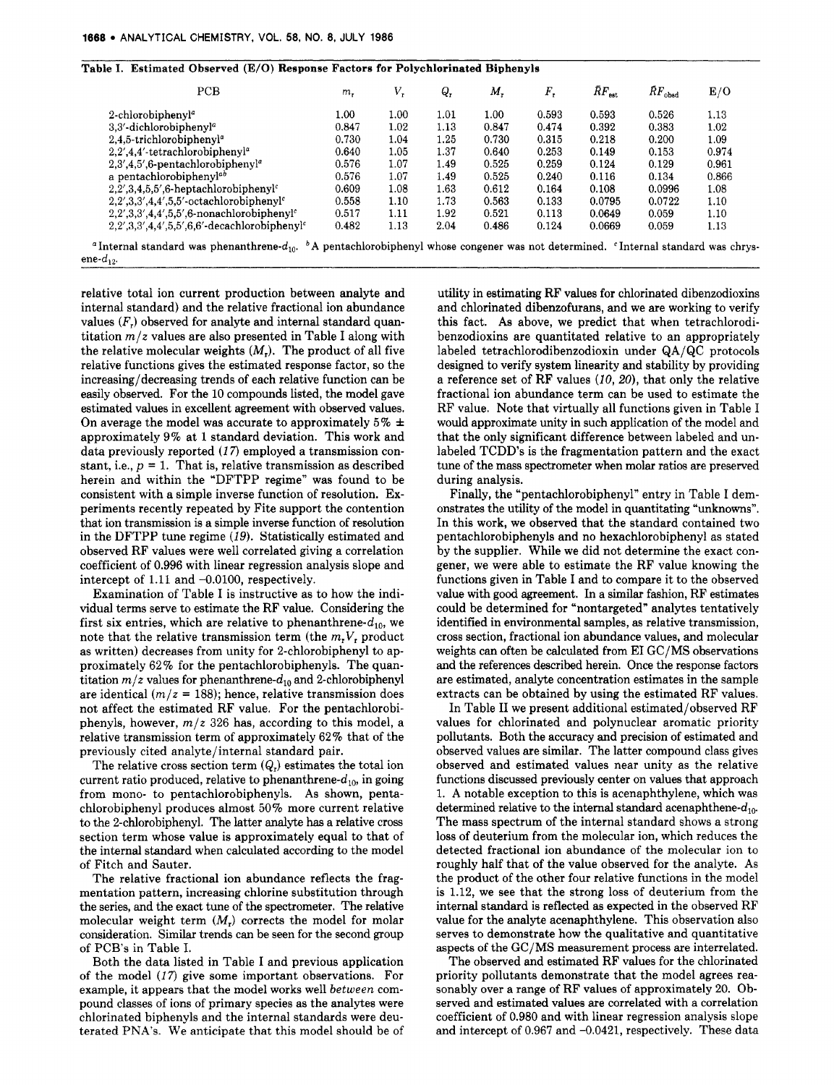| <b>PCB</b>                                                    | m,    | v,   | Q,   | $M_{\rm r}$ | F,    | $\bar{R}F_{\rm est}$ | $\bar{R}F_{\mathrm{obsd}}$ | E/O   |
|---------------------------------------------------------------|-------|------|------|-------------|-------|----------------------|----------------------------|-------|
| 2-chlorobiphenyl <sup>a</sup>                                 | 1.00  | 1.00 | 1.01 | 1.00        | 0.593 | 0.593                | 0.526                      | 1.13  |
| 3,3'-dichlorobiphenyl <sup>a</sup>                            | 0.847 | 1.02 | 1.13 | 0.847       | 0.474 | 0.392                | 0.383                      | 1.02  |
| $2.4.5$ -trichlorobiphenyl <sup>a</sup>                       | 0.730 | 1.04 | 1.25 | 0.730       | 0.315 | 0.218                | 0.200                      | 1.09  |
| $2.2^{\prime}.4.4^{\prime}$ -tetrachlorobiphenyl <sup>a</sup> | 0.640 | 1.05 | 1.37 | 0.640       | 0.253 | 0.149                | 0.153                      | 0.974 |
| $2,3',4,5',6$ -pentachlorobiphenyl <sup>a</sup>               | 0.576 | 1.07 | 1.49 | 0.525       | 0.259 | 0.124                | 0.129                      | 0.961 |
| a pentachlorobiphenyl <sup>ab</sup>                           | 0.576 | 1.07 | 1.49 | 0.525       | 0.240 | 0.116                | 0.134                      | 0.866 |
| $2,2',3,4,5,5',6$ -heptachlorobiphenyl <sup>c</sup>           | 0.609 | 1.08 | 1.63 | 0.612       | 0.164 | 0.108                | 0.0996                     | 1.08  |
| $2,2',3,3',4,4',5,5'$ -octachlorobiphenyl <sup>c</sup>        | 0.558 | 1.10 | 1.73 | 0.563       | 0.133 | 0.0795               | 0.0722                     | 1.10  |
| $2,2',3,3',4,4',5,5',6$ -nonachlorobiphenyl <sup>c</sup>      | 0.517 | 1.11 | 1.92 | 0.521       | 0.113 | 0.0649               | 0.059                      | 1.10  |
| $2,2',3,3',4,4',5,5',6,6'$ -decachlorobiphenyl <sup>c</sup>   | 0.482 | 1.13 | 2.04 | 0.486       | 0.124 | 0.0669               | 0.059                      | 1.13  |

Table I. Estimated Observed (E/O) Response Factors for Polychlorinated Biphenyls

relative total ion current production between analyte and internal standard) and the relative fractional ion abundance values  $(F<sub>r</sub>)$  observed for analyte and internal standard quantitation  $m/z$  values are also presented in Table I along with the relative molecular weights  $(M<sub>r</sub>)$ . The product of all five relative functions gives the estimated response factor, so the increasing/decreasing trends of each relative function can be easily observed. For the 10 compounds listed, the model gave estimated values in excellent agreement with observed values. On average the model was accurate to approximately 5%  $\pm$ approximately 9% at <sup>1</sup> standard deviation. This work and data previously reported (17) employed <sup>a</sup> transmission constant, i.e.,  $p = 1$ . That is, relative transmission as described herein and within the "DFTPP regime" was found to be consistent with <sup>a</sup> simple inverse function of resolution. Experiments recently repeated by Fite support the contention that ion transmission is <sup>a</sup> simple inverse function of resolution in the DFTPP tune regime (19). Statistically estimated and observed RF values were well correlated giving <sup>a</sup> correlation coefficient of 0.996 with linear regression analysis slope and intercept of 1.11 and -0.0100, respectively.

Examination of Table I is instructive as to how the individual terms serve to estimate the RF value. Considering the first six entries, which are relative to phenanthrene- $d_{10}$ , we note that the relative transmission term (the  $m_rV_r$  product as written) decreases from unity for 2-chlorobiphenyl to approximately 62% for the pentachlorobiphenyls. The quantitation  $m/z$  values for phenanthrene- $d_{10}$  and 2-chlorobiphenyl are identical  $(m/z = 188)$ ; hence, relative transmission does not affect the estimated RF value. For the pentachlorobiphenyls, however,  $m/z$  326 has, according to this model, a relative transmission term of approximately 62% that of the previously cited analyte/internal standard pair.

The relative cross section term  $(Q_r)$  estimates the total ion current ratio produced, relative to phenanthrene- $d_{10}$ , in going from mono- to pentachlorobiphenyls. As shown, pentachlorobiphenyl produces almost 50% more current relative to the 2-chlorobiphenyl. The latter analyte has <sup>a</sup> relative cross section term whose value is approximately equal to that of the internal standard when calculated according to the model of Fitch and Sauter.

The relative fractional ion abundance reflects the fragmentation pattern, increasing chlorine substitution through the series, and the exact tune of the spectrometer. The relative molecular weight term  $(M_r)$  corrects the model for molar consideration. Similar trends can be seen for the second group of PCB's in Table I.

Both the data listed in Table I and previous application of the model (17) give some important observations. For example, it appears that the model works well between compound classes of ions of primary species as the analytes were chlorinated biphenyls and the internal standards were deuterated PNA's. We anticipate that this model should be of utility in estimating RF values for chlorinated dibenzodioxins and chlorinated dibenzofurans, and we are working to verify this fact. As above, we predict that when tetrachlorodibenzodioxins are quantitated relative to an appropriately labeled tetrachlorodibenzodioxin under QA/QC protocols designed to verify system linearity and stability by providing <sup>a</sup> reference set of RF values (10, 20), that only the relative fractional ion abundance term can be used to estimate the RF value. Note that virtually all functions given in Table I would approximate unity in such application of the model and that the only significant difference between labeled and unlabeled TCDD's is the fragmentation pattern and the exact tune of the mass spectrometer when molar ratios are preserved during analysis.

Finally, the "pentachlorobiphenyl" entry in Table I demonstrates the utility of the model in quantitating "unknowns". In this work, we observed that the standard contained two pentachlorobiphenyls and no hexachlorobiphenyl as stated by the supplier. While we did not determine the exact congener, we were able to estimate the RF value knowing the functions given in Table I and to compare it to the observed value with good agreement. In <sup>a</sup> similar fashion, RF estimates could be determined for "nontargeted" analytes tentatively identified in environmental samples, as relative transmission, cross section, fractional ion abundance values, and molecular weights can often be calculated from El GC/MS observations and the references described herein. Once the response factors are estimated, analyte concentration estimates in the sample extracts can be obtained by using the estimated RF values.

In Table II we present additional estimated/observed RF values for chlorinated and polynuclear aromatic priority pollutants. Both the accuracy and precision of estimated and observed values are similar. The latter compound class gives observed and estimated values near unity as the relative functions discussed previously center on values that approach 1. A notable exception to this is acenaphthylene, which was determined relative to the internal standard acenaphthene- $d_{10}$ . The mass spectrum of the internal standard shows <sup>a</sup> strong loss of deuterium from the molecular ion, which reduces the detected fractional ion abundance of the molecular ion to roughly half that of the value observed for the analyte. As the product of the other four relative functions in the model is 1.12, we see that the strong loss of deuterium from the internal standard is reflected as expected in the observed RF value for the analyte acenaphthylene. This observation also serves to demonstrate how the qualitative and quantitative aspects of the GC/MS measurement process are interrelated.

The observed and estimated RF values for the chlorinated priority pollutants demonstrate that the model agrees reasonably over <sup>a</sup> range of RF values of approximately 20. Observed and estimated values are correlated with <sup>a</sup> correlation coefficient of 0.980 and with linear regression analysis slope and intercept of 0.967 and -0.0421, respectively. These data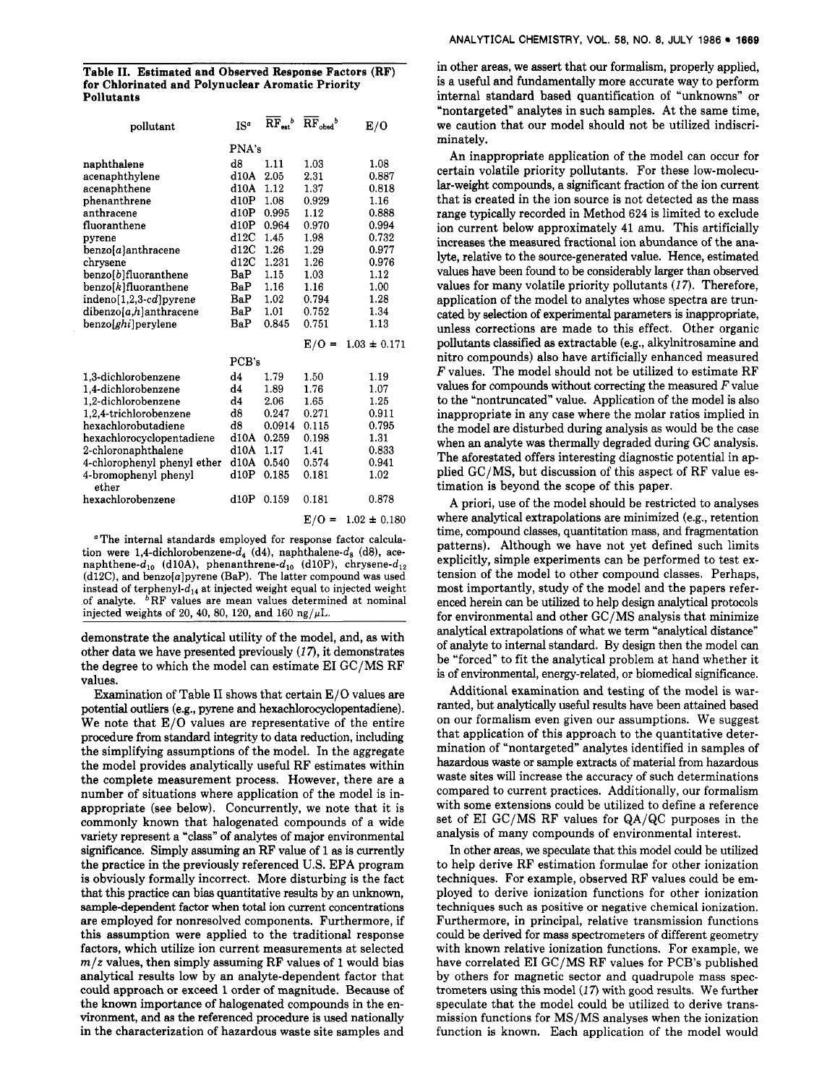| pollutant                     | IS <sup>a</sup> |        | $\overline{\text{RF}}_{\text{est}}^b$ $\overline{\text{RF}}_{\text{obsd}}^b$ | E/O              |
|-------------------------------|-----------------|--------|------------------------------------------------------------------------------|------------------|
|                               | PNA's           |        |                                                                              |                  |
| naphthalene                   | d8              | 1.11   | 1.03                                                                         | 1.08             |
| acenaphthylene                | d10A            | 2.05   | 2.31                                                                         | 0.887            |
| acenaphthene                  | d10A            | 1.12   | 1.37                                                                         | 0.818            |
| phenanthrene                  | $\rm d10P$      | 1.08   | 0.929                                                                        | 1.16             |
| anthracene                    | d10P            | 0.995  | 1.12                                                                         | 0.888            |
| fluoranthene                  | d10P            | 0.964  | 0.970                                                                        | 0.994            |
| pyrene                        | d12C            | 1.45   | 1.98                                                                         | 0.732            |
| benzo[a]anthracene            | d12C            | 1.26   | 1.29                                                                         | 0.977            |
| chrysene                      | d12C            | 1.231  | 1.26                                                                         | 0.976            |
| benzo[b]fluoranthene          | BaP             | 1.15   | 1.03                                                                         | 1.12             |
| benzo[k]fluoranthene          | BaP             | 1.16   | 1.16                                                                         | 1.00             |
| $indeno[1,2,3-cd]pyrene$      | BaP             | 1.02   | 0.794                                                                        | 1.28             |
| $dibenzo[a,h]$ anthracene     | BaP             | 1.01   | 0.752                                                                        | 1.34             |
| benzo[ <i>ghi</i> ]perylene   | BaP             | 0.845  | 0.751                                                                        | 1.13             |
|                               |                 |        | $E/O =$                                                                      | $1.03 \pm 0.171$ |
|                               | PCB's           |        |                                                                              |                  |
| 1,3-dichlorobenzene           | d4              | 1.79   | 1.50                                                                         | 1.19             |
| 1,4-dichlorobenzene           | d4              | 1.89   | 1.76                                                                         | 1.07             |
| 1,2-dichlorobenzene           | d4              | 2.06   | 1.65                                                                         | 1.25             |
| 1,2,4-trichlorobenzene        | d8              | 0.247  | 0.271                                                                        | 0.911            |
| hexachlorobutadiene           | d8              | 0.0914 | 0.115                                                                        | 0.795            |
| hexachlorocyclopentadiene     | d10A            | 0.259  | 0.198                                                                        | 1.31             |
| 2-chloronaphthalene           | d10A            | 1.17   | 1.41                                                                         | 0.833            |
| 4-chlorophenyl phenyl ether   | d10A            | 0.540  | 0.574                                                                        | 0.941            |
| 4-bromophenyl phenyl<br>ether | d10P            | 0.185  | 0.181                                                                        | 1.02             |
| hexachlorobenzene             | $\rm{d}10P$     | 0.159  | 0.181                                                                        | 0.878            |
|                               |                 |        | $E/O =$                                                                      | $1.02 \pm 0.180$ |

"The internal standards employed for response factor calculation were 1,4-dichlorobenzene- $d_4$  (d4), naphthalene- $d_8$  (d8), acenaphthene- $d_{10}$  (d10A), phenanthrene- $d_{10}$  (d10P), chrysene- $d_{12}$ (d12C), and benzo[a]pyrene (BaP). The latter compound was used instead of terphenyl- $d_{14}$  at injected weight equal to injected weight of analyte.  ${}^{b}$ RF values are mean values determined at nominal injected weights of 20, 40, 80, 120, and 160 ng/ $\mu$ L.

demonstrate the analytical utility of the model, and, as with other data we have presented previously (17), it demonstrates the degree to which the model can estimate El GC/MS RF values.

Examination of Table II shows that certain E/O values are potential outliers (e.g., pyrene and hexachlorocyclopentadiene). We note that  $E/O$  values are representative of the entire procedure from standard integrity to data reduction, including the simplifying assumptions of the model. In the aggregate the model provides analytically useful RF estimates within the complete measurement process. However, there are <sup>a</sup> number of situations where application of the model is inappropriate (see below). Concurrently, we note that it is commonly known that halogenated compounds of <sup>a</sup> wide variety represent <sup>a</sup> "class" of analytes of major environmental significance. Simply assuming an RF value of <sup>1</sup> as is currently the practice in the previously referenced U.S. EPA program is obviously formally incorrect. More disturbing is the fact that this practice can bias quantitative results by an unknown, sample-dependent factor when total ion current concentrations are employed for nonresolved components. Furthermore, if this assumption were applied to the traditional response factors, which utilize ion current measurements at selected  $m/z$  values, then simply assuming RF values of 1 would bias analytical results low by an analyte-dependent factor that could approach or exceed <sup>1</sup> order of magnitude. Because of the known importance of halogenated compounds in the environment, and as the referenced procedure is used nationally in the characterization of hazardous waste site samples and

in other areas, we assert that our formalism, properly applied, is <sup>a</sup> useful and fundamentally more accurate way to perform internal standard based quantification of "unknowns" or "nontargeted" analytes in such samples. At the same time, we caution that our model should not be utilized indiscriminately.

An inappropriate application of the model can occur for certain volatile priority pollutants. For these low-molecular-weight compounds, <sup>a</sup> significant fraction of the ion current that is created in the ion source is not detected as the mass range typically recorded in Method <sup>624</sup> is limited to exclude ion current below approximately <sup>41</sup> amu. This artificially increases the measured fractional ion abundance of the analyte, relative to the source-generated value. Hence, estimated values have been found to be considerably larger than observed values for many volatile priority pollutants (17). Therefore, application of the model to analytes whose spectra are truncated by selection of experimental parameters is inappropriate, unless corrections are made to this effect. Other organic pollutants classified as extractable (e.g., alkylnitrosamine and nitro compounds) also have artificially enhanced measured F values. The model should not be utilized to estimate RF values for compounds without correcting the measured  $F$  value to the "nontruncated" value. Application of the model is also inappropriate in any case where the molar ratios implied in the model are disturbed during analysis as would be the case when an analyte was thermally degraded during GC analysis. The aforestated offers interesting diagnostic potential in applied GC/MS, but discussion of this aspect of RF value estimation is beyond the scope of this paper.

A priori, use of the model should be restricted to analyses where analytical extrapolations are minimized (e.g., retention time, compound classes, quantitation mass, and fragmentation patterns). Although we have not yet defined such limits explicitly, simple experiments can be performed to test extension of the model to other compound classes. Perhaps, most importantly, study of the model and the papers referenced herein can be utilized to help design analytical protocols for environmental and other GC/MS analysis that minimize analytical extrapolations of what we term "analytical distance" of analyte to internal standard. By design then the model can be "forced" to fit the analytical problem at hand whether it is of environmental, energy-related, or biomedical significance.

Additional examination and testing of the model is warranted, but analytically useful results have been attained based on our formalism even given our assumptions. We suggest that application of this approach to the quantitative determination of "nontargeted" analytes identified in samples of hazardous waste or sample extracts of material from hazardous waste sites will increase the accuracy of such determinations compared to current practices. Additionally, our formalism with some extensions could be utilized to define <sup>a</sup> reference set of El GC/MS RF values for QA/QC purposes in the analysis of many compounds of environmental interest.

In other areas, we speculate that this model could be utilized to help derive RF estimation formulae for other ionization techniques. For example, observed RF values could be employed to derive ionization functions for other ionization techniques such as positive or negative chemical ionization. Furthermore, in principal, relative transmission functions could be derived for mass spectrometers of different geometry with known relative ionization functions. For example, we have correlated El GC/MS RF values for PCB's published by others for magnetic sector and quadrupole mass spectrometers using this model (17) with good results. We further speculate that the model could be utilized to derive transmission functions for MS/MS analyses when the ionization function is known. Each application of the model would